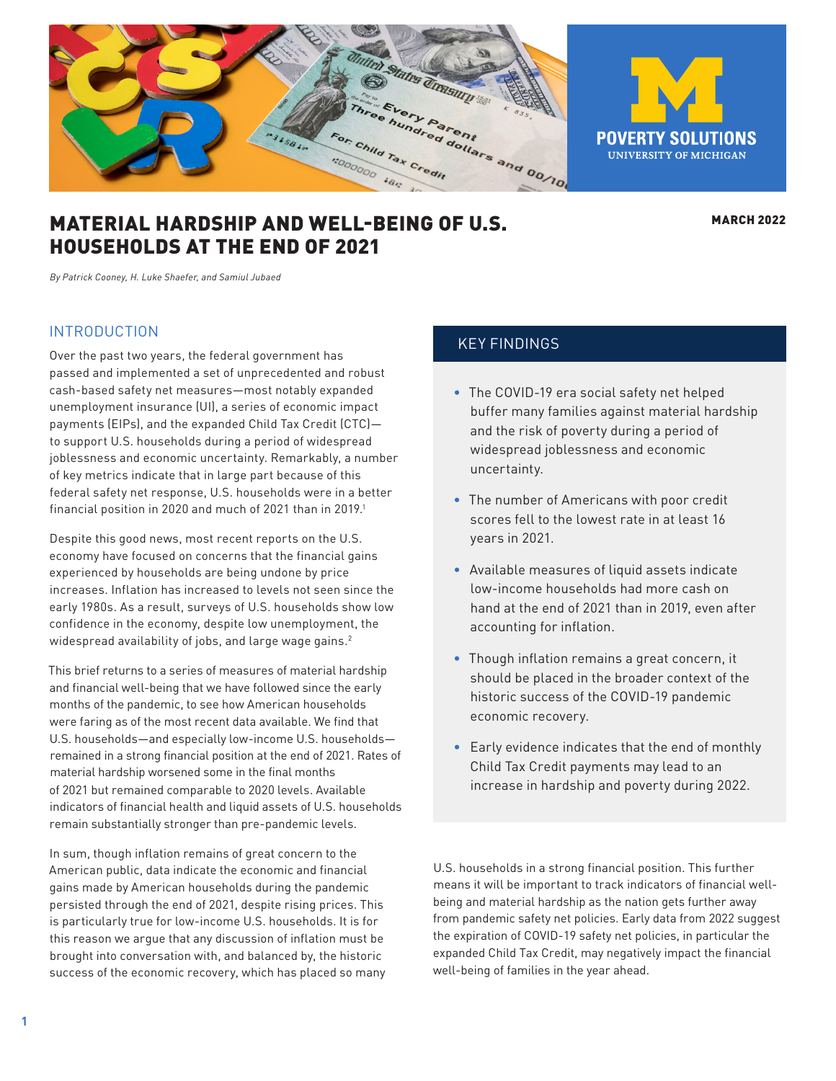<span id="page-0-0"></span>

# MATERIAL HARDSHIP AND WELL-BEING OF U.S. HOUSEHOLDS AT THE END OF 2021

**MARCH 2022** 

*By Patrick Cooney, H. Luke Shaefer, and Samiul Jubaed*

#### INTRODUCTION

Over the past two years, the federal government has passed and implemented a set of unprecedented and robust cash-based safety net measures—most notably expanded unemployment insurance (UI), a series of economic impact payments (EIPs), and the expanded Child Tax Credit (CTC) to support U.S. households during a period of widespread joblessness and economic uncertainty. Remarkably, a number of key metrics indicate that in large part because of this federal safety net response, U.S. households were in a better financial position in 2020 and much of 2021 than in 201[9.](#page-8-0)<sup>1</sup>

Despite this good news, most recent reports on the U.S. economy have focused on concerns that the financial gains experienced by households are being undone by price increases. Inflation has increased to levels not seen since the early 1980s. As a result, surveys of U.S. households show low confidence in the economy, despite low unemployment, the widespread availability of jobs, and large wage gains.<sup>[2](#page-8-0)</sup>

This brief returns to a series of measures of material hardship and financial well-being that we have followed since the early months of the pandemic, to see how American households were faring as of the most recent data available. We find that U.S. households—and especially low-income U.S. households remained in a strong financial position at the end of 2021. Rates of material hardship worsened some in the final months of 2021 but remained comparable to 2020 levels. Available indicators of financial health and liquid assets of U.S. households remain substantially stronger than pre-pandemic levels.

In sum, though inflation remains of great concern to the American public, data indicate the economic and financial gains made by American households during the pandemic persisted through the end of 2021, despite rising prices. This is particularly true for low-income U.S. households. It is for this reason we argue that any discussion of inflation must be brought into conversation with, and balanced by, the historic success of the economic recovery, which has placed so many

### KEY FINDINGS

- The COVID-19 era social safety net helped buffer many families against material hardship and the risk of poverty during a period of widespread joblessness and economic uncertainty.
- The number of Americans with poor credit scores fell to the lowest rate in at least 16 years in 2021.
- Available measures of liquid assets indicate low-income households had more cash on hand at the end of 2021 than in 2019, even after accounting for inflation.
- Though inflation remains a great concern, it should be placed in the broader context of the historic success of the COVID-19 pandemic economic recovery.
- Early evidence indicates that the end of monthly Child Tax Credit payments may lead to an increase in hardship and poverty during 2022.

U.S. households in a strong financial position. This further means it will be important to track indicators of financial wellbeing and material hardship as the nation gets further away from pandemic safety net policies. Early data from 2022 suggest the expiration of COVID-19 safety net policies, in particular the expanded Child Tax Credit, may negatively impact the financial well-being of families in the year ahead.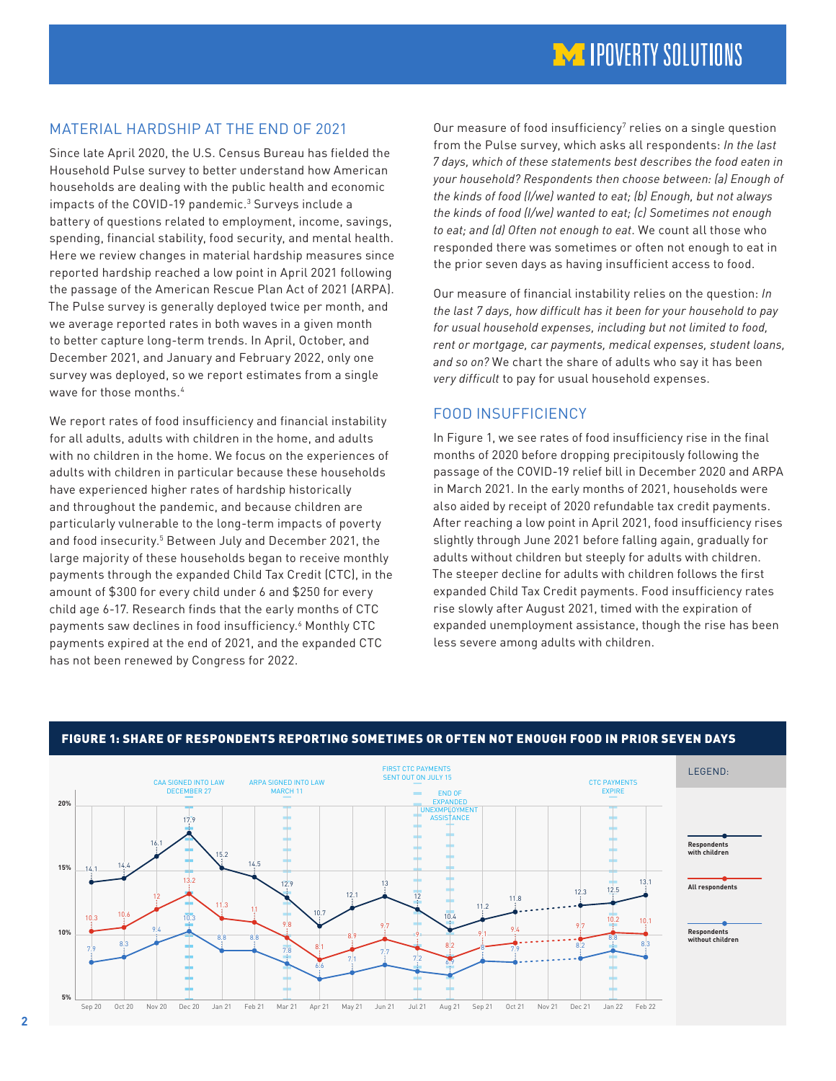# <span id="page-1-0"></span>MATERIAL HARDSHIP AT THE END OF 2021

Since late April 2020, the U.S. Census Bureau has fielded the Household Pulse survey to better understand how American households are dealing with the public health and economic impacts of the COVID-19 pandemic.<sup>[3](#page-8-0)</sup> Surveys include a battery of questions related to employment, income, savings, spending, financial stability, food security, and mental health. Here we review changes in material hardship measures since reported hardship reached a low point in April 2021 following the passage of the American Rescue Plan Act of 2021 (ARPA). The Pulse survey is generally deployed twice per month, and we average reported rates in both waves in a given month to better capture long-term trends. In April, October, and December 2021, and January and February 2022, only one survey was deployed, so we report estimates from a single wave for those months.<sup>4</sup>

We report rates of food insufficiency and financial instability for all adults, adults with children in the home, and adults with no children in the home. We focus on the experiences of adults with children in particular because these households have experienced higher rates of hardship historically and throughout the pandemic, and because children are particularly vulnerable to the long-term impacts of poverty and food insecurity.<sup>[5](#page-8-0)</sup> Between July and December 2021, the large majority of these households began to receive monthly payments through the expanded Child Tax Credit (CTC), in the amount of \$300 for every child under 6 and \$250 for every child age 6-17. Research finds that the early months of CTC payments saw declines in food insufficiency.<sup>6</sup> Monthly CTC payments expired at the end of 2021, and the expanded CTC has not been renewed by Congress for 2022.

Our measure of food insufficiency<sup>[7](#page-8-0)</sup> relies on a single question from the Pulse survey, which asks all respondents: *In the last 7 days, which of these statements best describes the food eaten in your household? Respondents then choose between: (a) Enough of the kinds of food (I/we) wanted to eat; (b) Enough, but not always the kinds of food (I/we) wanted to eat; (c) Sometimes not enough to eat; and (d) Often not enough to eat*. We count all those who responded there was sometimes or often not enough to eat in the prior seven days as having insufficient access to food.

Our measure of financial instability relies on the question: *In the last 7 days, how difficult has it been for your household to pay for usual household expenses, including but not limited to food, rent or mortgage, car payments, medical expenses, student loans, and so on?* We chart the share of adults who say it has been *very difficult* to pay for usual household expenses.

# FOOD INSUFFICIENCY

In Figure 1, we see rates of food insufficiency rise in the final months of 2020 before dropping precipitously following the passage of the COVID-19 relief bill in December 2020 and ARPA in March 2021. In the early months of 2021, households were also aided by receipt of 2020 refundable tax credit payments. After reaching a low point in April 2021, food insufficiency rises slightly through June 2021 before falling again, gradually for adults without children but steeply for adults with children. The steeper decline for adults with children follows the first expanded Child Tax Credit payments. Food insufficiency rates rise slowly after August 2021, timed with the expiration of expanded unemployment assistance, though the rise has been less severe among adults with children.



### FIGURE 1: SHARE OF RESPONDENTS REPORTING SOMETIMES OR OFTEN NOT ENOUGH FOOD IN PRIOR SEVEN DAYS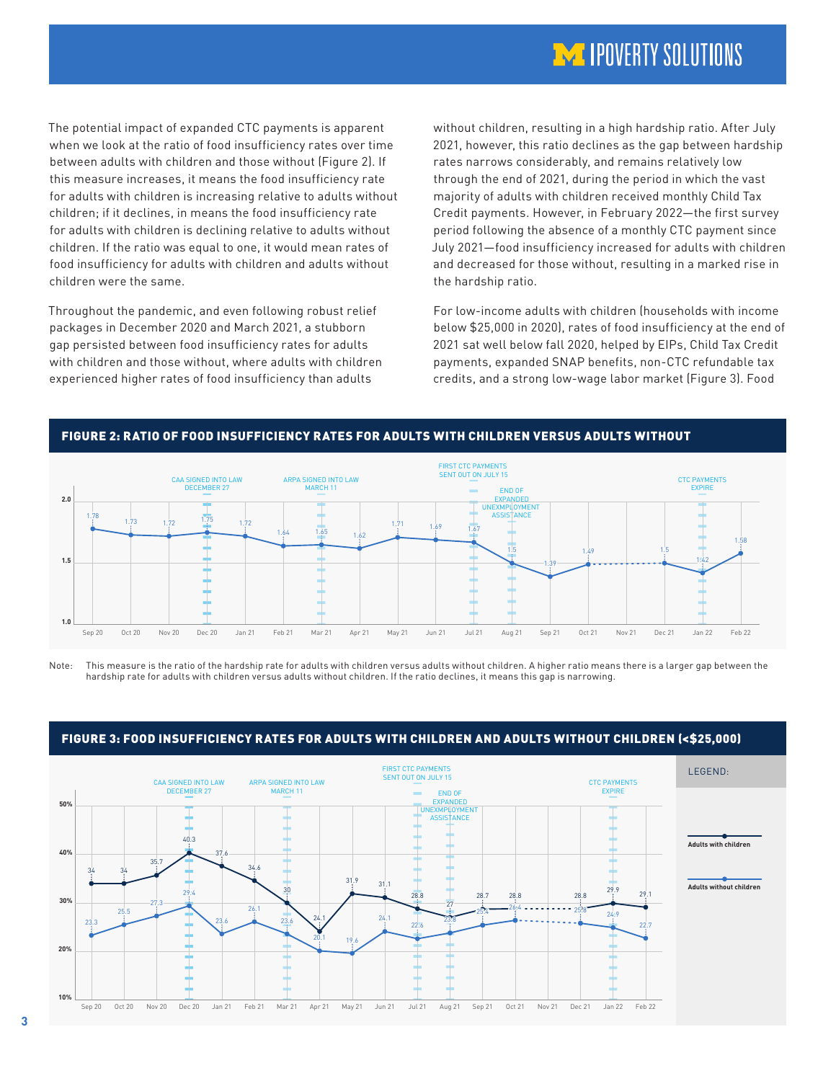# **IM IPOVERTY SOLUTIONS**

The potential impact of expanded CTC payments is apparent when we look at the ratio of food insufficiency rates over time between adults with children and those without (Figure 2). If this measure increases, it means the food insufficiency rate for adults with children is increasing relative to adults without children; if it declines, in means the food insufficiency rate for adults with children is declining relative to adults without children. If the ratio was equal to one, it would mean rates of food insufficiency for adults with children and adults without children were the same.

Throughout the pandemic, and even following robust relief packages in December 2020 and March 2021, a stubborn gap persisted between food insufficiency rates for adults with children and those without, where adults with children experienced higher rates of food insufficiency than adults

without children, resulting in a high hardship ratio. After July 2021, however, this ratio declines as the gap between hardship rates narrows considerably, and remains relatively low through the end of 2021, during the period in which the vast majority of adults with children received monthly Child Tax Credit payments. However, in February 2022—the first survey period following the absence of a monthly CTC payment since July 2021—food insufficiency increased for adults with children and decreased for those without, resulting in a marked rise in the hardship ratio.

For low-income adults with children (households with income below \$25,000 in 2020), rates of food insufficiency at the end of 2021 sat well below fall 2020, helped by EIPs, Child Tax Credit payments, expanded SNAP benefits, non-CTC refundable tax credits, and a strong low-wage labor market (Figure 3). Food



Note: This measure is the ratio of the hardship rate for adults with children versus adults without children. A higher ratio means there is a larger gap between the hardship rate for adults with children versus adults without children. If the ratio declines, it means this gap is narrowing.



#### FIGURE 3: FOOD INSUFFICIENCY RATES FOR ADULTS WITH CHILDREN AND ADULTS WITHOUT CHILDREN (<\$25,000)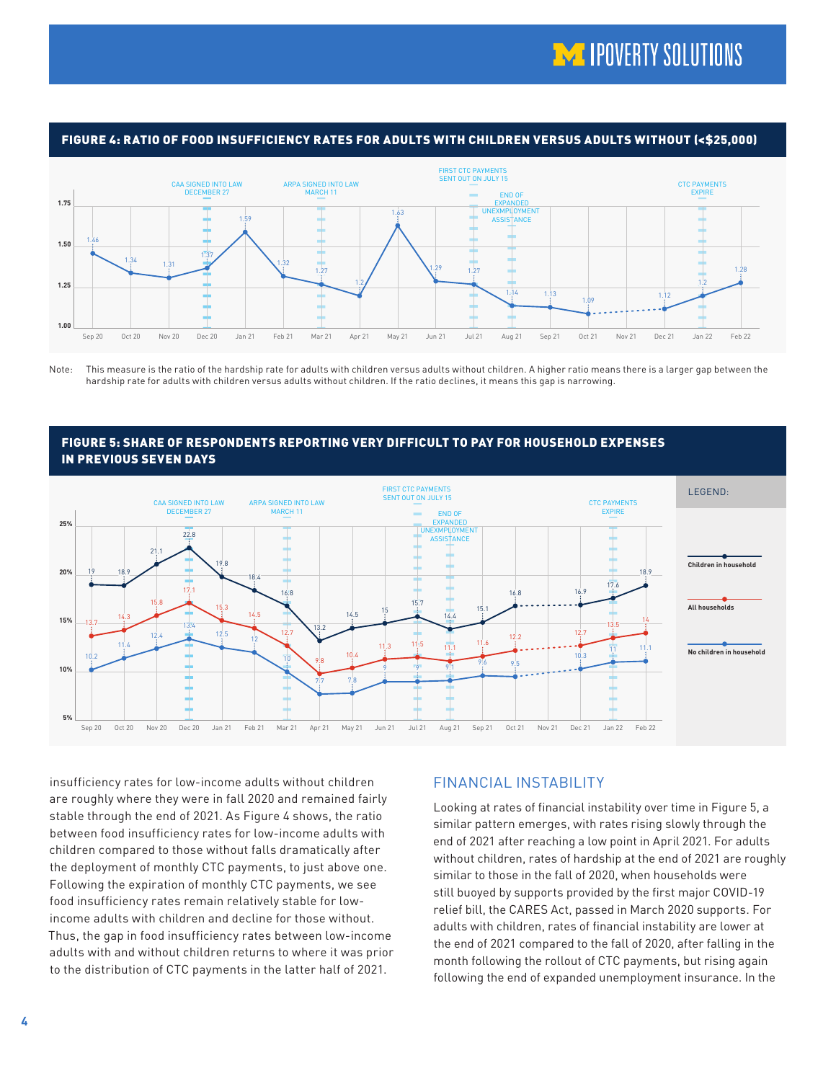

FIGURE 4: RATIO OF FOOD INSUFFICIENCY RATES FOR ADULTS WITH CHILDREN VERSUS ADULTS WITHOUT (<\$25,000)

Note: This measure is the ratio of the hardship rate for adults with children versus adults without children. A higher ratio means there is a larger gap between the hardship rate for adults with children versus adults without children. If the ratio declines, it means this gap is narrowing.

#### FIGURE 5: SHARE OF RESPONDENTS REPORTING VERY DIFFICULT TO PAY FOR HOUSEHOLD EXPENSES IN PREVIOUS SEVEN DAYS



insufficiency rates for low-income adults without children are roughly where they were in fall 2020 and remained fairly stable through the end of 2021. As Figure 4 shows, the ratio between food insufficiency rates for low-income adults with children compared to those without falls dramatically after the deployment of monthly CTC payments, to just above one. Following the expiration of monthly CTC payments, we see food insufficiency rates remain relatively stable for lowincome adults with children and decline for those without. Thus, the gap in food insufficiency rates between low-income adults with and without children returns to where it was prior to the distribution of CTC payments in the latter half of 2021.

## FINANCIAL INSTABILITY

Looking at rates of financial instability over time in Figure 5, a similar pattern emerges, with rates rising slowly through the end of 2021 after reaching a low point in April 2021. For adults without children, rates of hardship at the end of 2021 are roughly similar to those in the fall of 2020, when households were still buoyed by supports provided by the first major COVID-19 relief bill, the CARES Act, passed in March 2020 supports. For adults with children, rates of financial instability are lower at the end of 2021 compared to the fall of 2020, after falling in the month following the rollout of CTC payments, but rising again following the end of expanded unemployment insurance. In the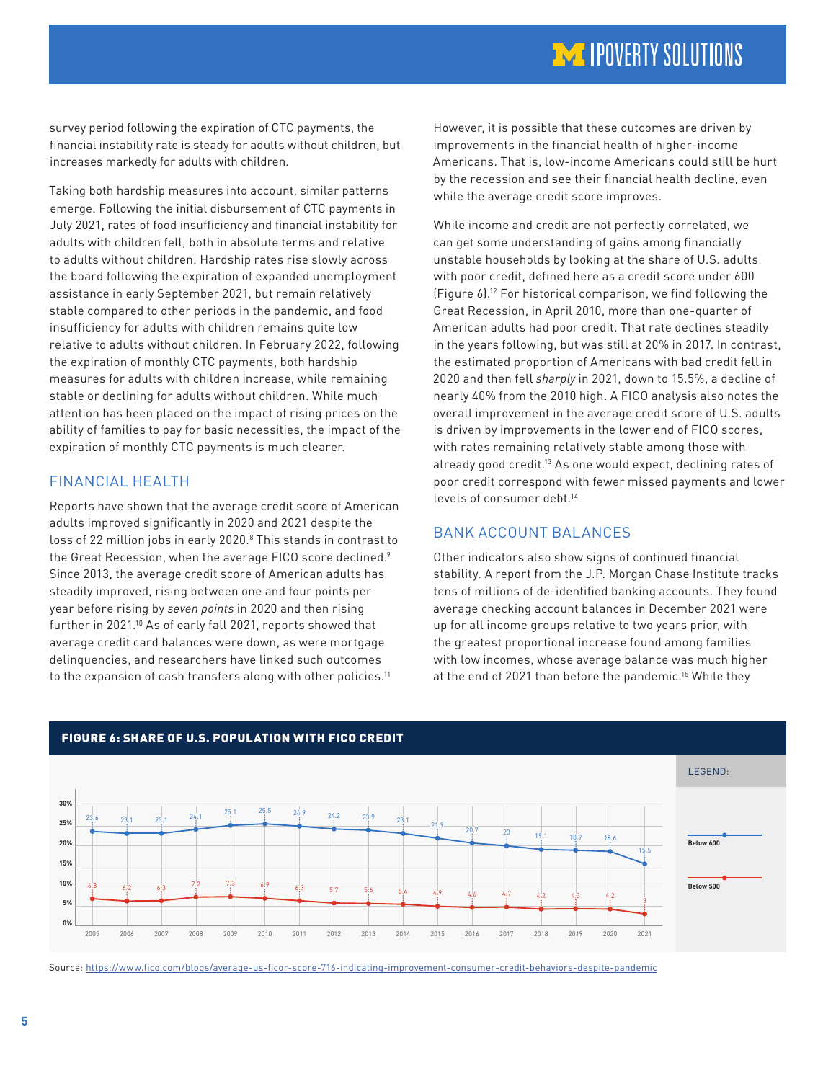# **IM IPOVERTY SOLUTIONS**

<span id="page-4-0"></span>survey period following the expiration of CTC payments, the financial instability rate is steady for adults without children, but increases markedly for adults with children.

Taking both hardship measures into account, similar patterns emerge. Following the initial disbursement of CTC payments in July 2021, rates of food insufficiency and financial instability for adults with children fell, both in absolute terms and relative to adults without children. Hardship rates rise slowly across the board following the expiration of expanded unemployment assistance in early September 2021, but remain relatively stable compared to other periods in the pandemic, and food insufficiency for adults with children remains quite low relative to adults without children. In February 2022, following the expiration of monthly CTC payments, both hardship measures for adults with children increase, while remaining stable or declining for adults without children. While much attention has been placed on the impact of rising prices on the ability of families to pay for basic necessities, the impact of the expiration of monthly CTC payments is much clearer.

## FINANCIAL HEALTH

Reports have shown that the average credit score of American adults improved significantly in 2020 and 2021 despite the loss of 22 million jobs in early 2020.[8](#page-8-0) This stands in contrast to the Great Recession, when the average FICO score declined.<sup>[9](#page-8-0)</sup> Since 2013, the average credit score of American adults has steadily improved, rising between one and four points per year before rising by *seven points* in 2020 and then rising further in 2021.[10](#page-8-0) As of early fall 2021, reports showed that average credit card balances were down, as were mortgage delinquencies, and researchers have linked such outcomes to the expansion of cash transfers along with other policies.<sup>[11](#page-8-0)</sup>

However, it is possible that these outcomes are driven by improvements in the financial health of higher-income Americans. That is, low-income Americans could still be hurt by the recession and see their financial health decline, even while the average credit score improves.

While income and credit are not perfectly correlated, we can get some understanding of gains among financially unstable households by looking at the share of U.S. adults with poor credit, defined here as a credit score under 600 (Figure 6)[.12](#page-8-0) For historical comparison, we find following the Great Recession, in April 2010, more than one-quarter of American adults had poor credit. That rate declines steadily in the years following, but was still at 20% in 2017. In contrast, the estimated proportion of Americans with bad credit fell in 2020 and then fell *sharply* in 2021, down to 15.5%, a decline of nearly 40% from the 2010 high. A FICO analysis also notes the overall improvement in the average credit score of U.S. adults is driven by improvements in the lower end of FICO scores, with rates remaining relatively stable among those with already good credit[.13](#page-8-0) As one would expect, declining rates of poor credit correspond with fewer missed payments and lower levels of consumer debt[.14](#page-8-0)

# BANK ACCOUNT BALANCES

Other indicators also show signs of continued financial stability. A report from the J.P. Morgan Chase Institute tracks tens of millions of de-identified banking accounts. They found average checking account balances in December 2021 were up for all income groups relative to two years prior, with the greatest proportional increase found among families with low incomes, whose average balance was much higher at the end of 2021 than before the pandemic[.15](#page-8-0) While they



Source: <https://www.fico.com/blogs/average-us-ficor-score-716-indicating-improvement-consumer-credit-behaviors-despite-pandemic>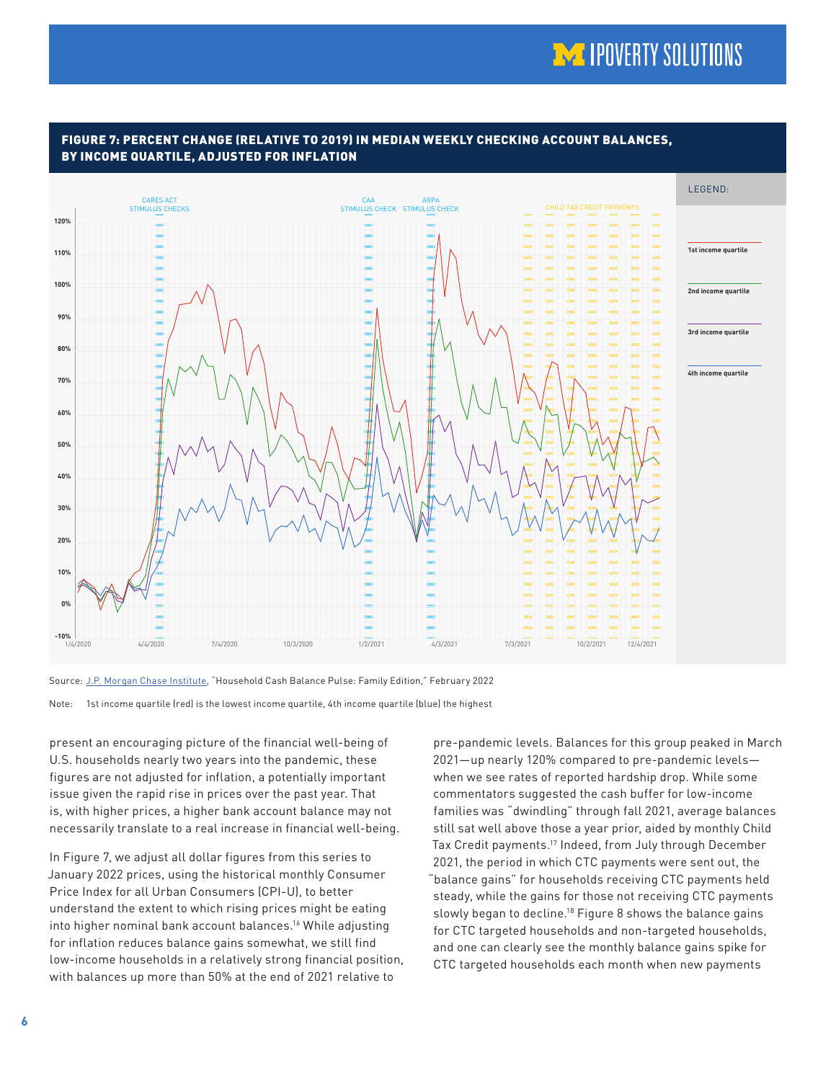# **MA IPOVERTY SOLUTIONS**



#### <span id="page-5-0"></span>FIGURE 7: PERCENT CHANGE (RELATIVE TO 2019) IN MEDIAN WEEKLY CHECKING ACCOUNT BALANCES, BY INCOME QUARTILE, ADJUSTED FOR INFLATION

Source: [J.P. Morgan Chase Institute](https://www.jpmorganchase.com/institute/research/household-income-spending/household-pulse-cash-balances-at-year-end), "Household Cash Balance Pulse: Family Edition," February 2022

Note: 1st income quartile (red) is the lowest income quartile, 4th income quartile (blue) the highest

present an encouraging picture of the financial well-being of U.S. households nearly two years into the pandemic, these figures are not adjusted for inflation, a potentially important issue given the rapid rise in prices over the past year. That is, with higher prices, a higher bank account balance may not necessarily translate to a real increase in financial well-being.

In Figure 7, we adjust all dollar figures from this series to January 2022 prices, using the historical monthly Consumer Price Index for all Urban Consumers (CPI-U), to better understand the extent to which rising prices might be eating into higher nominal bank account balances[.16](#page-8-0) While adjusting for inflation reduces balance gains somewhat, we still find low-income households in a relatively strong financial position, with balances up more than 50% at the end of 2021 relative to

pre-pandemic levels. Balances for this group peaked in March 2021—up nearly 120% compared to pre-pandemic levels when we see rates of reported hardship drop. While some commentators suggested the cash buffer for low-income families was "dwindling" through fall 2021, average balances still sat well above those a year prior, aided by monthly Child Tax Credit payments[.17](#page-8-0) Indeed, from July through December 2021, the period in which CTC payments were sent out, the "balance gains" for households receiving CTC payments held steady, while the gains for those not receiving CTC payments slowly began to decline.<sup>18</sup> Figure 8 shows the balance gains for CTC targeted households and non-targeted households, and one can clearly see the monthly balance gains spike for CTC targeted households each month when new payments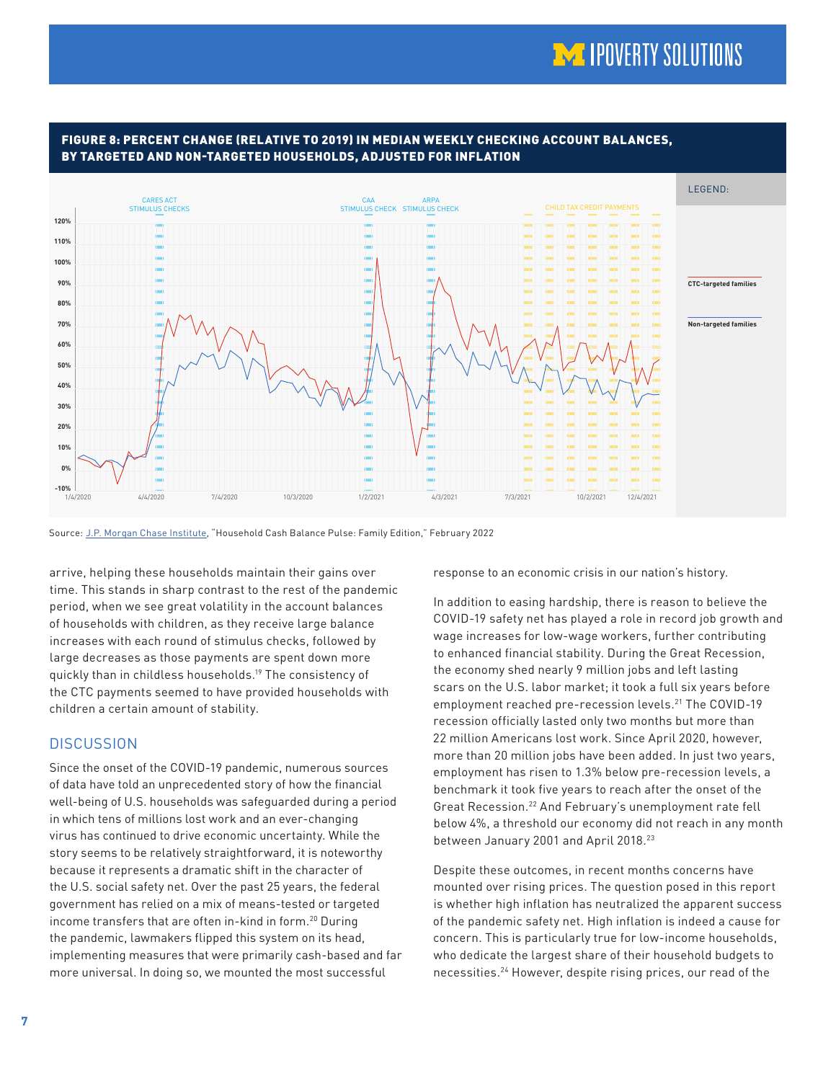

#### <span id="page-6-0"></span>FIGURE 8: PERCENT CHANGE (RELATIVE TO 2019) IN MEDIAN WEEKLY CHECKING ACCOUNT BALANCES, BY TARGETED AND NON-TARGETED HOUSEHOLDS, ADJUSTED FOR INFLATION

Source: [J.P. Morgan Chase Institute](https://www.jpmorganchase.com/institute/research/household-income-spending/household-pulse-cash-balances-at-year-end), "Household Cash Balance Pulse: Family Edition," February 2022

arrive, helping these households maintain their gains over time. This stands in sharp contrast to the rest of the pandemic period, when we see great volatility in the account balances of households with children, as they receive large balance increases with each round of stimulus checks, followed by large decreases as those payments are spent down more quickly than in childless households[.19](#page-8-0) The consistency of the CTC payments seemed to have provided households with children a certain amount of stability.

## **DISCUSSION**

Since the onset of the COVID-19 pandemic, numerous sources of data have told an unprecedented story of how the financial well-being of U.S. households was safeguarded during a period in which tens of millions lost work and an ever-changing virus has continued to drive economic uncertainty. While the story seems to be relatively straightforward, it is noteworthy because it represents a dramatic shift in the character of the U.S. social safety net. Over the past 25 years, the federal government has relied on a mix of means-tested or targeted income transfers that are often in-kind in form.[20](#page-8-0) During the pandemic, lawmakers flipped this system on its head, implementing measures that were primarily cash-based and far more universal. In doing so, we mounted the most successful

response to an economic crisis in our nation's history.

In addition to easing hardship, there is reason to believe the COVID-19 safety net has played a role in record job growth and wage increases for low-wage workers, further contributing to enhanced financial stability. During the Great Recession, the economy shed nearly 9 million jobs and left lasting scars on the U.S. labor market; it took a full six years before employment reached pre-recession levels[.21](#page-8-0) The COVID-19 recession officially lasted only two months but more than 22 million Americans lost work. Since April 2020, however, more than 20 million jobs have been added. In just two years, employment has risen to 1.3% below pre-recession levels, a benchmark it took five years to reach after the onset of the Great Recession.[22](#page-8-0) And February's unemployment rate fell below 4%, a threshold our economy did not reach in any month between January 2001 and April 2018.<sup>[23](#page-8-0)</sup>

Despite these outcomes, in recent months concerns have mounted over rising prices. The question posed in this report is whether high inflation has neutralized the apparent success of the pandemic safety net. High inflation is indeed a cause for concern. This is particularly true for low-income households, who dedicate the largest share of their household budgets to necessities.[24](#page-8-0) However, despite rising prices, our read of the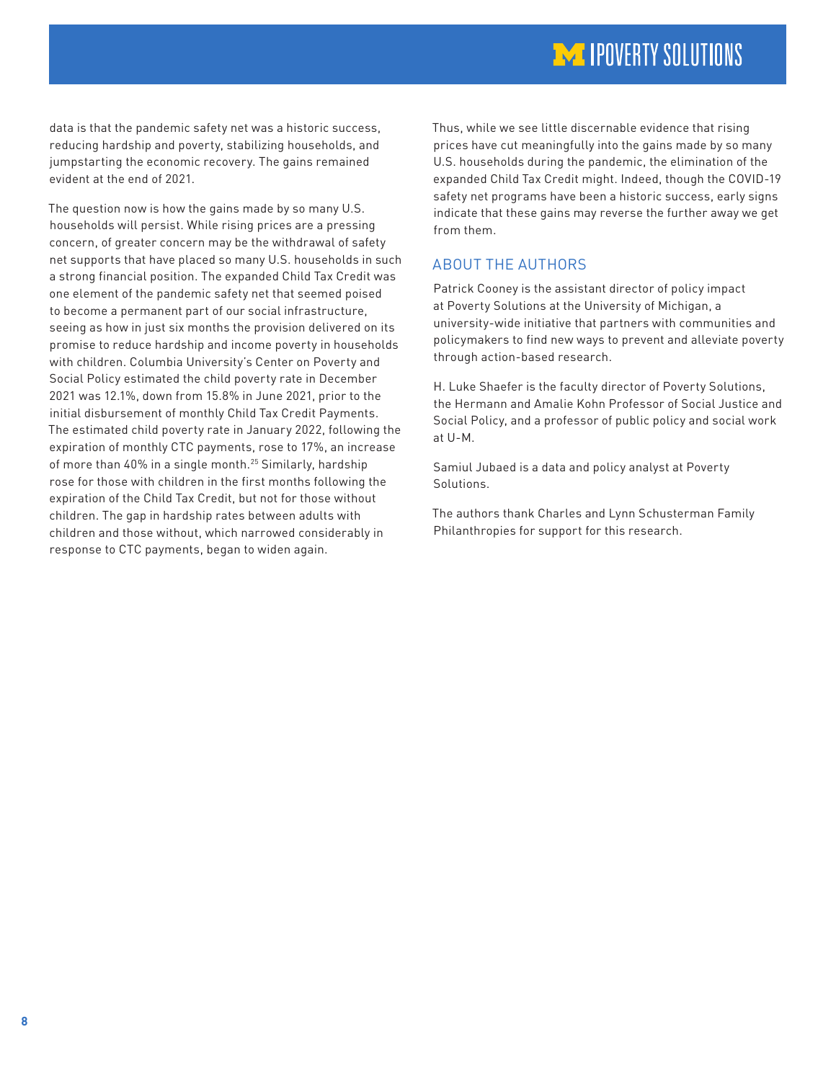# **IM IPOVERTY SOLUTIONS**

<span id="page-7-0"></span>data is that the pandemic safety net was a historic success, reducing hardship and poverty, stabilizing households, and jumpstarting the economic recovery. The gains remained evident at the end of 2021.

The question now is how the gains made by so many U.S. households will persist. While rising prices are a pressing concern, of greater concern may be the withdrawal of safety net supports that have placed so many U.S. households in such a strong financial position. The expanded Child Tax Credit was one element of the pandemic safety net that seemed poised to become a permanent part of our social infrastructure, seeing as how in just six months the provision delivered on its promise to reduce hardship and income poverty in households with children. Columbia University's Center on Poverty and Social Policy estimated the child poverty rate in December 2021 was 12.1%, down from 15.8% in June 2021, prior to the initial disbursement of monthly Child Tax Credit Payments. The estimated child poverty rate in January 2022, following the expiration of monthly CTC payments, rose to 17%, an increase of more than 40% in a single month.<sup>[25](#page-8-0)</sup> Similarly, hardship rose for those with children in the first months following the expiration of the Child Tax Credit, but not for those without children. The gap in hardship rates between adults with children and those without, which narrowed considerably in response to CTC payments, began to widen again.

Thus, while we see little discernable evidence that rising prices have cut meaningfully into the gains made by so many U.S. households during the pandemic, the elimination of the expanded Child Tax Credit might. Indeed, though the COVID-19 safety net programs have been a historic success, early signs indicate that these gains may reverse the further away we get from them.

#### ABOUT THE AUTHORS

Patrick Cooney is the assistant director of policy impact at Poverty Solutions at the University of Michigan, a university-wide initiative that partners with communities and policymakers to find new ways to prevent and alleviate poverty through action-based research.

H. Luke Shaefer is the faculty director of Poverty Solutions, the Hermann and Amalie Kohn Professor of Social Justice and Social Policy, and a professor of public policy and social work at U-M.

Samiul Jubaed is a data and policy analyst at Poverty Solutions.

The authors thank Charles and Lynn Schusterman Family Philanthropies for support for this research.